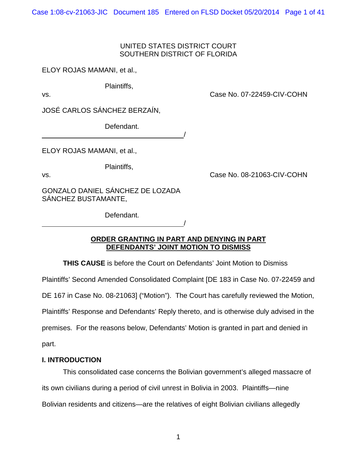Case 1:08-cv-21063-JIC Document 185 Entered on FLSD Docket 05/20/2014 Page 1 of 41

# UNITED STATES DISTRICT COURT SOUTHERN DISTRICT OF FLORIDA

ELOY ROJAS MAMANI, et al.,

Plaintiffs,

vs. Case No. 07-22459-CIV-COHN

JOSÉ CARLOS SÁNCHEZ BERZAÍN,

Defendant.

/

ELOY ROJAS MAMANI, et al.,

Plaintiffs,

vs. Case No. 08-21063-CIV-COHN

GONZALO DANIEL SÁNCHEZ DE LOZADA SÁNCHEZ BUSTAMANTE,

<u>/</u>

Defendant.

# **ORDER GRANTING IN PART AND DENYING IN PART DEFENDANTS' JOINT MOTION TO DISMISS**

**THIS CAUSE** is before the Court on Defendants' Joint Motion to Dismiss

Plaintiffs' Second Amended Consolidated Complaint [DE 183 in Case No. 07-22459 and

DE 167 in Case No. 08-21063] ("Motion"). The Court has carefully reviewed the Motion,

Plaintiffs' Response and Defendants' Reply thereto, and is otherwise duly advised in the

premises. For the reasons below, Defendants' Motion is granted in part and denied in

part.

# **I. INTRODUCTION**

This consolidated case concerns the Bolivian government's alleged massacre of its own civilians during a period of civil unrest in Bolivia in 2003. Plaintiffs—nine Bolivian residents and citizens—are the relatives of eight Bolivian civilians allegedly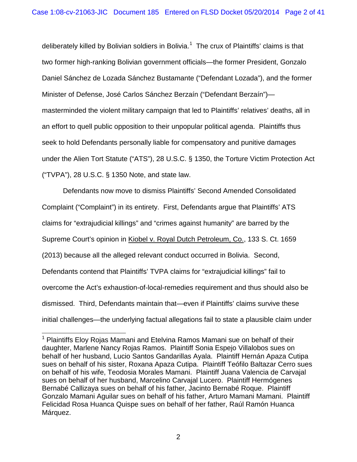deliberately killed by Bolivian soldiers in Bolivia.<sup>[1](#page-40-0)</sup> The crux of Plaintiffs' claims is that two former high-ranking Bolivian government officials—the former President, Gonzalo Daniel Sánchez de Lozada Sánchez Bustamante ("Defendant Lozada"), and the former Minister of Defense, José Carlos Sánchez Berzaín ("Defendant Berzaín") masterminded the violent military campaign that led to Plaintiffs' relatives' deaths, all in an effort to quell public opposition to their unpopular political agenda. Plaintiffs thus seek to hold Defendants personally liable for compensatory and punitive damages under the Alien Tort Statute ("ATS"), 28 U.S.C. § 1350, the Torture Victim Protection Act ("TVPA"), 28 U.S.C. § 1350 Note, and state law.

Defendants now move to dismiss Plaintiffs' Second Amended Consolidated Complaint ("Complaint") in its entirety. First, Defendants argue that Plaintiffs' ATS claims for "extrajudicial killings" and "crimes against humanity" are barred by the Supreme Court's opinion in Kiobel v. Royal Dutch Petroleum, Co., 133 S. Ct. 1659 (2013) because all the alleged relevant conduct occurred in Bolivia. Second, Defendants contend that Plaintiffs' TVPA claims for "extrajudicial killings" fail to overcome the Act's exhaustion-of-local-remedies requirement and thus should also be dismissed. Third, Defendants maintain that—even if Plaintiffs' claims survive these initial challenges—the underlying factual allegations fail to state a plausible claim under

<span id="page-1-0"></span><sup>&</sup>lt;sup>1</sup> Plaintiffs Elov Rojas Mamani and Etelvina Ramos Mamani sue on behalf of their daughter, Marlene Nancy Rojas Ramos. Plaintiff Sonia Espejo Villalobos sues on behalf of her husband, Lucio Santos Gandarillas Ayala. Plaintiff Hernán Apaza Cutipa sues on behalf of his sister, Roxana Apaza Cutipa. Plaintiff Teófilo Baltazar Cerro sues on behalf of his wife, Teodosia Morales Mamani. Plaintiff Juana Valencia de Carvajal sues on behalf of her husband, Marcelino Carvajal Lucero. Plaintiff Hermógenes Bernabé Callizaya sues on behalf of his father, Jacinto Bernabé Roque. Plaintiff Gonzalo Mamani Aguilar sues on behalf of his father, Arturo Mamani Mamani. Plaintiff Felicidad Rosa Huanca Quispe sues on behalf of her father, Raúl Ramón Huanca Márquez.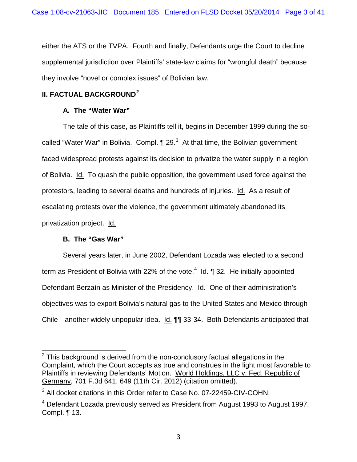either the ATS or the TVPA. Fourth and finally, Defendants urge the Court to decline supplemental jurisdiction over Plaintiffs' state-law claims for "wrongful death" because they involve "novel or complex issues" of Bolivian law.

# **II. FACTUAL BACKGROUND[2](#page-1-0)**

# **A. The "Water War"**

The tale of this case, as Plaintiffs tell it, begins in December 1999 during the socalled "Water War" in Bolivia. Compl.  $\P$  29.<sup>[3](#page-2-0)</sup> At that time, the Bolivian government faced widespread protests against its decision to privatize the water supply in a region of Bolivia. Id. To quash the public opposition, the government used force against the protestors, leading to several deaths and hundreds of injuries. Id. As a result of escalating protests over the violence, the government ultimately abandoned its privatization project. Id.

# **B. The "Gas War"**

Several years later, in June 2002, Defendant Lozada was elected to a second term as President of Bolivia with 22% of the vote.<sup>[4](#page-2-1)</sup> ld. ¶ 32. He initially appointed Defendant Berzaín as Minister of the Presidency. Id. One of their administration's objectives was to export Bolivia's natural gas to the United States and Mexico through Chile—another widely unpopular idea. Id. ¶¶ 33-34. Both Defendants anticipated that

 $2$  This background is derived from the non-conclusory factual allegations in the Complaint, which the Court accepts as true and construes in the light most favorable to Plaintiffs in reviewing Defendants' Motion. World Holdings, LLC v. Fed. Republic of Germany, 701 F.3d 641, 649 (11th Cir. 2012) (citation omitted).

<span id="page-2-2"></span><span id="page-2-0"></span><sup>&</sup>lt;sup>3</sup> All docket citations in this Order refer to Case No. 07-22459-CIV-COHN.

<span id="page-2-1"></span> $4$  Defendant Lozada previously served as President from August 1993 to August 1997. Compl. ¶ 13.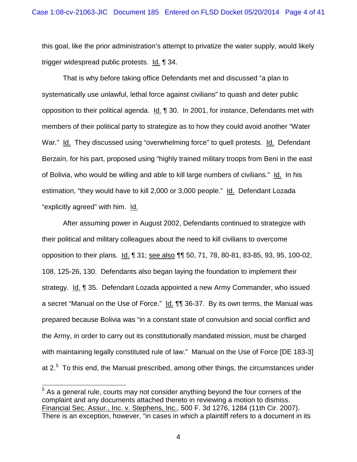this goal, like the prior administration's attempt to privatize the water supply, would likely trigger widespread public protests. Id. ¶ 34.

That is why before taking office Defendants met and discussed "a plan to systematically use unlawful, lethal force against civilians" to quash and deter public opposition to their political agenda. Id. ¶ 30. In 2001, for instance, Defendants met with members of their political party to strategize as to how they could avoid another "Water War." Id. They discussed using "overwhelming force" to quell protests. Id. Defendant Berzaín, for his part, proposed using "highly trained military troops from Beni in the east of Bolivia, who would be willing and able to kill large numbers of civilians." Id. In his estimation, "they would have to kill 2,000 or 3,000 people." Id. Defendant Lozada "explicitly agreed" with him. Id.

After assuming power in August 2002, Defendants continued to strategize with their political and military colleagues about the need to kill civilians to overcome opposition to their plans. Id. 1 31; see also 11 50, 71, 78, 80-81, 83-85, 93, 95, 100-02, 108, 125-26, 130. Defendants also began laying the foundation to implement their strategy. Id. ¶ 35. Defendant Lozada appointed a new Army Commander, who issued a secret "Manual on the Use of Force." Id. **[1]** 36-37. By its own terms, the Manual was prepared because Bolivia was "in a constant state of convulsion and social conflict and the Army, in order to carry out its constitutionally mandated mission, must be charged with maintaining legally constituted rule of law." Manual on the Use of Force [DE 183-3] at 2. $5$  To this end, the Manual prescribed, among other things, the circumstances under

<span id="page-3-0"></span><sup>&</sup>lt;sup>5</sup> As a general rule, courts may not consider anything beyond the four corners of the complaint and any documents attached thereto in reviewing a motion to dismiss. Financial Sec. Assur., Inc. v. Stephens, Inc., 500 F. 3d 1276, 1284 (11th Cir. 2007). There is an exception, however, "in cases in which a plaintiff refers to a document in its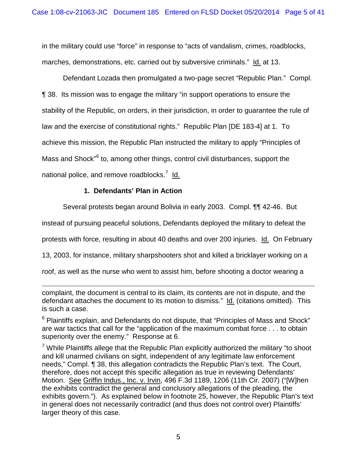in the military could use "force" in response to "acts of vandalism, crimes, roadblocks, marches, demonstrations, etc. carried out by subversive criminals." Id. at 13.

Defendant Lozada then promulgated a two-page secret "Republic Plan." Compl. ¶ 38. Its mission was to engage the military "in support operations to ensure the stability of the Republic, on orders, in their jurisdiction, in order to guarantee the rule of law and the exercise of constitutional rights." Republic Plan [DE 183-4] at 1. To achieve this mission, the Republic Plan instructed the military to apply "Principles of Mass and Shock"<sup>[6](#page-3-0)</sup> to, among other things, control civil disturbances, support the national police, and remove roadblocks.<sup>[7](#page-4-0)</sup> ld.

# **1. Defendants' Plan in Action**

Several protests began around Bolivia in early 2003. Compl. ¶¶ 42-46. But

instead of pursuing peaceful solutions, Defendants deployed the military to defeat the

protests with force, resulting in about 40 deaths and over 200 injuries. Id. On February

13, 2003, for instance, military sharpshooters shot and killed a bricklayer working on a

roof, as well as the nurse who went to assist him, before shooting a doctor wearing a

 $\overline{a}$ complaint, the document is central to its claim, its contents are not in dispute, and the defendant attaches the document to its motion to dismiss." Id. (citations omitted). This is such a case.

 $6$  Plaintiffs explain, and Defendants do not dispute, that "Principles of Mass and Shock" are war tactics that call for the "application of the maximum combat force . . . to obtain superiority over the enemy." Response at 6.

<span id="page-4-1"></span><span id="page-4-0"></span> $7$  While Plaintiffs allege that the Republic Plan explicitly authorized the military "to shoot and kill unarmed civilians on sight, independent of any legitimate law enforcement needs," Compl. ¶ 38, this allegation contradicts the Republic Plan's text. The Court, therefore, does not accept this specific allegation as true in reviewing Defendants' Motion. See Griffin Indus., Inc. v. Irvin, 496 F.3d 1189, 1206 (11th Cir. 2007) ("[W]hen the exhibits contradict the general and conclusory allegations of the pleading, the exhibits govern."). As explained below in footnote 25, however, the Republic Plan's text in general does not necessarily contradict (and thus does not control over) Plaintiffs' larger theory of this case.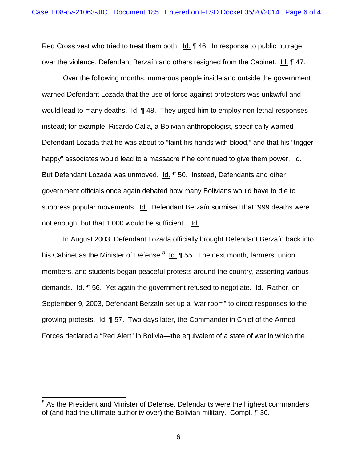Red Cross vest who tried to treat them both. Id. ¶ 46. In response to public outrage over the violence, Defendant Berzaín and others resigned from the Cabinet. Id. ¶ 47.

Over the following months, numerous people inside and outside the government warned Defendant Lozada that the use of force against protestors was unlawful and would lead to many deaths. Id. ¶ 48. They urged him to employ non-lethal responses instead; for example, Ricardo Calla, a Bolivian anthropologist, specifically warned Defendant Lozada that he was about to "taint his hands with blood," and that his "trigger happy" associates would lead to a massacre if he continued to give them power. Id. But Defendant Lozada was unmoved. Id. ¶ 50. Instead, Defendants and other government officials once again debated how many Bolivians would have to die to suppress popular movements. Id. Defendant Berzaín surmised that "999 deaths were not enough, but that 1,000 would be sufficient." Id.

In August 2003, Defendant Lozada officially brought Defendant Berzaín back into his Cabinet as the Minister of Defense.<sup>[8](#page-4-1)</sup> Ld. ¶ 55. The next month, farmers, union members, and students began peaceful protests around the country, asserting various demands. Id. ¶ 56. Yet again the government refused to negotiate. Id. Rather, on September 9, 2003, Defendant Berzaín set up a "war room" to direct responses to the growing protests. Id. ¶ 57. Two days later, the Commander in Chief of the Armed Forces declared a "Red Alert" in Bolivia—the equivalent of a state of war in which the

<span id="page-5-0"></span><sup>&</sup>lt;sup>8</sup> As the President and Minister of Defense, Defendants were the highest commanders of (and had the ultimate authority over) the Bolivian military. Compl. ¶ 36.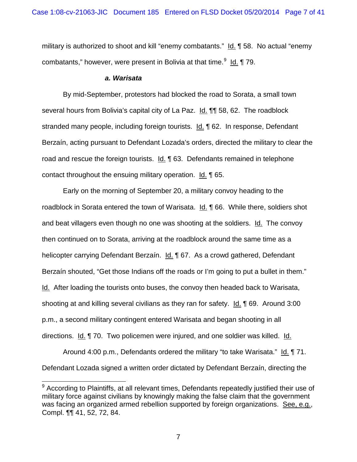military is authorized to shoot and kill "enemy combatants." Id. ¶ 58. No actual "enemy combatants," however, were present in Bolivia at that time.<sup>[9](#page-5-0)</sup> ld. ¶ 79.

#### *a. Warisata*

By mid-September, protestors had blocked the road to Sorata, a small town several hours from Bolivia's capital city of La Paz. Id. ¶¶ 58, 62. The roadblock stranded many people, including foreign tourists. Id. ¶ 62. In response, Defendant Berzaín, acting pursuant to Defendant Lozada's orders, directed the military to clear the road and rescue the foreign tourists. Id. ¶ 63. Defendants remained in telephone contact throughout the ensuing military operation. Id. ¶ 65.

Early on the morning of September 20, a military convoy heading to the roadblock in Sorata entered the town of Warisata. Id. 166. While there, soldiers shot and beat villagers even though no one was shooting at the soldiers. Id. The convoy then continued on to Sorata, arriving at the roadblock around the same time as a helicopter carrying Defendant Berzaín. Id. ¶ 67. As a crowd gathered, Defendant Berzaín shouted, "Get those Indians off the roads or I'm going to put a bullet in them." Id. After loading the tourists onto buses, the convoy then headed back to Warisata, shooting at and killing several civilians as they ran for safety. Id. ¶ 69. Around 3:00 p.m., a second military contingent entered Warisata and began shooting in all directions. Id. 170. Two policemen were injured, and one soldier was killed. Id.

<span id="page-6-0"></span>Around 4:00 p.m., Defendants ordered the military "to take Warisata." Id. ¶ 71. Defendant Lozada signed a written order dictated by Defendant Berzaín, directing the

 $9$  According to Plaintiffs, at all relevant times, Defendants repeatedly justified their use of military force against civilians by knowingly making the false claim that the government was facing an organized armed rebellion supported by foreign organizations. See, e.g., Compl. ¶¶ 41, 52, 72, 84.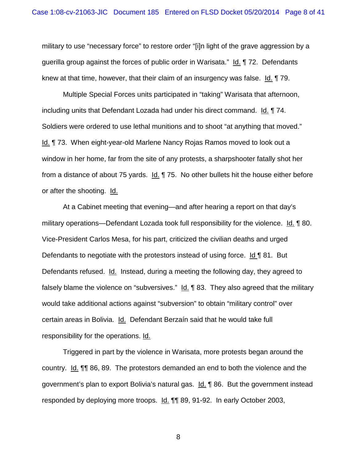military to use "necessary force" to restore order "[i]n light of the grave aggression by a guerilla group against the forces of public order in Warisata." Id. ¶ 72. Defendants knew at that time, however, that their claim of an insurgency was false. Id. ¶ 79.

Multiple Special Forces units participated in "taking" Warisata that afternoon, including units that Defendant Lozada had under his direct command. Id. ¶ 74. Soldiers were ordered to use lethal munitions and to shoot "at anything that moved." Id. ¶ 73. When eight-year-old Marlene Nancy Rojas Ramos moved to look out a window in her home, far from the site of any protests, a sharpshooter fatally shot her from a distance of about 75 yards. Id. ¶ 75. No other bullets hit the house either before or after the shooting. Id.

At a Cabinet meeting that evening—and after hearing a report on that day's military operations—Defendant Lozada took full responsibility for the violence. Id. ¶ 80. Vice-President Carlos Mesa, for his part, criticized the civilian deaths and urged Defendants to negotiate with the protestors instead of using force. Id ¶ 81. But Defendants refused. Id. Instead, during a meeting the following day, they agreed to falsely blame the violence on "subversives." Id. ¶ 83. They also agreed that the military would take additional actions against "subversion" to obtain "military control" over certain areas in Bolivia. Id. Defendant Berzaín said that he would take full responsibility for the operations. Id.

Triggered in part by the violence in Warisata, more protests began around the country. Id. ¶¶ 86, 89. The protestors demanded an end to both the violence and the government's plan to export Bolivia's natural gas. Id. ¶ 86. But the government instead responded by deploying more troops. Id. 11 89, 91-92. In early October 2003,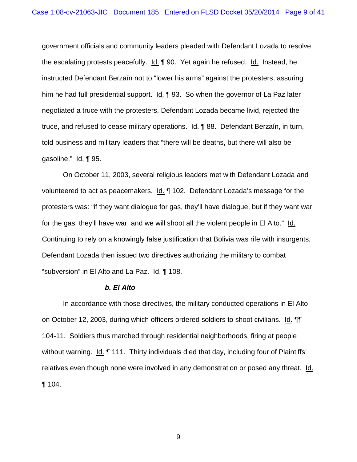government officials and community leaders pleaded with Defendant Lozada to resolve the escalating protests peacefully. Id. ¶ 90. Yet again he refused. Id. Instead, he instructed Defendant Berzaín not to "lower his arms" against the protesters, assuring him he had full presidential support. Id. 193. So when the governor of La Paz later negotiated a truce with the protesters, Defendant Lozada became livid, rejected the truce, and refused to cease military operations. Id. 188. Defendant Berzaín, in turn, told business and military leaders that "there will be deaths, but there will also be gasoline." Id. ¶ 95.

On October 11, 2003, several religious leaders met with Defendant Lozada and volunteered to act as peacemakers. Id. 102. Defendant Lozada's message for the protesters was: "if they want dialogue for gas, they'll have dialogue, but if they want war for the gas, they'll have war, and we will shoot all the violent people in El Alto." Id. Continuing to rely on a knowingly false justification that Bolivia was rife with insurgents, Defendant Lozada then issued two directives authorizing the military to combat "subversion" in El Alto and La Paz. Id. ¶ 108.

#### *b. El Alto*

In accordance with those directives, the military conducted operations in El Alto on October 12, 2003, during which officers ordered soldiers to shoot civilians. Id. ¶¶ 104-11. Soldiers thus marched through residential neighborhoods, firing at people without warning. Id. 111. Thirty individuals died that day, including four of Plaintiffs' relatives even though none were involved in any demonstration or posed any threat. Id. ¶ 104.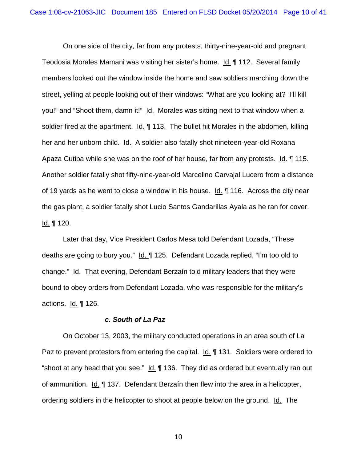On one side of the city, far from any protests, thirty-nine-year-old and pregnant Teodosia Morales Mamani was visiting her sister's home. Id. ¶ 112. Several family members looked out the window inside the home and saw soldiers marching down the street, yelling at people looking out of their windows: "What are you looking at? I'll kill you!" and "Shoot them, damn it!" Id. Morales was sitting next to that window when a soldier fired at the apartment. Id. ¶ 113. The bullet hit Morales in the abdomen, killing her and her unborn child. Id. A soldier also fatally shot nineteen-year-old Roxana Apaza Cutipa while she was on the roof of her house, far from any protests. Id. ¶ 115. Another soldier fatally shot fifty-nine-year-old Marcelino Carvajal Lucero from a distance of 19 yards as he went to close a window in his house. Id. ¶ 116. Across the city near the gas plant, a soldier fatally shot Lucio Santos Gandarillas Ayala as he ran for cover. <u>ld.</u> ¶ 120.

Later that day, Vice President Carlos Mesa told Defendant Lozada, "These deaths are going to bury you." Id. 125. Defendant Lozada replied, "I'm too old to change." Id. That evening, Defendant Berzaín told military leaders that they were bound to obey orders from Defendant Lozada, who was responsible for the military's actions.  $Id. \P 126$ .

#### *c. South of La Paz*

On October 13, 2003, the military conducted operations in an area south of La Paz to prevent protestors from entering the capital. Id. 131. Soldiers were ordered to "shoot at any head that you see." Id. ¶ 136. They did as ordered but eventually ran out of ammunition. Id. ¶ 137. Defendant Berzaín then flew into the area in a helicopter, ordering soldiers in the helicopter to shoot at people below on the ground. Id. The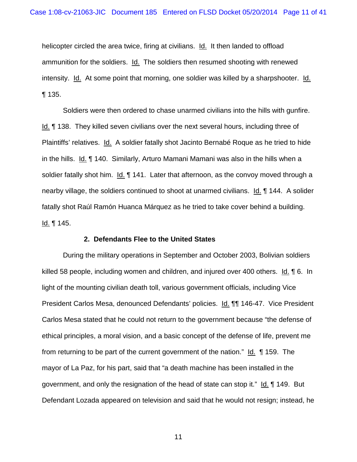helicopter circled the area twice, firing at civilians. Id. It then landed to offload ammunition for the soldiers. Id. The soldiers then resumed shooting with renewed intensity. Id. At some point that morning, one soldier was killed by a sharpshooter. Id. ¶ 135.

Soldiers were then ordered to chase unarmed civilians into the hills with gunfire. Id. ¶ 138. They killed seven civilians over the next several hours, including three of Plaintiffs' relatives. Id. A soldier fatally shot Jacinto Bernabé Roque as he tried to hide in the hills. Id. ¶ 140. Similarly, Arturo Mamani Mamani was also in the hills when a soldier fatally shot him.  $Id. \P 141$ . Later that afternoon, as the convoy moved through a nearby village, the soldiers continued to shoot at unarmed civilians. Id. ¶ 144. A solider fatally shot Raúl Ramón Huanca Márquez as he tried to take cover behind a building. <u>ld.</u> ¶ 145.

#### **2. Defendants Flee to the United States**

During the military operations in September and October 2003, Bolivian soldiers killed 58 people, including women and children, and injured over 400 others. Id. ¶ 6. In light of the mounting civilian death toll, various government officials, including Vice President Carlos Mesa, denounced Defendants' policies. Id. ¶¶ 146-47. Vice President Carlos Mesa stated that he could not return to the government because "the defense of ethical principles, a moral vision, and a basic concept of the defense of life, prevent me from returning to be part of the current government of the nation." Id. 159. The mayor of La Paz, for his part, said that "a death machine has been installed in the government, and only the resignation of the head of state can stop it." Id. ¶ 149. But Defendant Lozada appeared on television and said that he would not resign; instead, he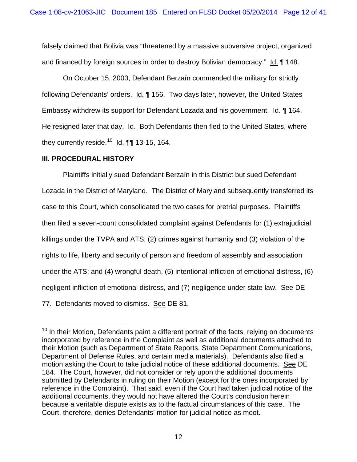falsely claimed that Bolivia was "threatened by a massive subversive project, organized and financed by foreign sources in order to destroy Bolivian democracy." Id. ¶ 148.

On October 15, 2003, Defendant Berzaín commended the military for strictly following Defendants' orders. Id. 156. Two days later, however, the United States Embassy withdrew its support for Defendant Lozada and his government. Id. ¶ 164. He resigned later that day. Id. Both Defendants then fled to the United States, where they currently reside.<sup>10</sup> ld. ¶¶ 13-15, 164.

## **III. PROCEDURAL HISTORY**

Plaintiffs initially sued Defendant Berzaín in this District but sued Defendant Lozada in the District of Maryland. The District of Maryland subsequently transferred its case to this Court, which consolidated the two cases for pretrial purposes. Plaintiffs then filed a seven-count consolidated complaint against Defendants for (1) extrajudicial killings under the TVPA and ATS; (2) crimes against humanity and (3) violation of the rights to life, liberty and security of person and freedom of assembly and association under the ATS; and (4) wrongful death, (5) intentional infliction of emotional distress, (6) negligent infliction of emotional distress, and (7) negligence under state law. See DE 77. Defendants moved to dismiss. See DE 81.

<span id="page-11-0"></span> $10$  In their Motion, Defendants paint a different portrait of the facts, relying on documents incorporated by reference in the Complaint as well as additional documents attached to their Motion (such as Department of State Reports, State Department Communications, Department of Defense Rules, and certain media materials). Defendants also filed a motion asking the Court to take judicial notice of these additional documents. See DE 184. The Court, however, did not consider or rely upon the additional documents submitted by Defendants in ruling on their Motion (except for the ones incorporated by reference in the Complaint). That said, even if the Court had taken judicial notice of the additional documents, they would not have altered the Court's conclusion herein because a veritable dispute exists as to the factual circumstances of this case. The Court, therefore, denies Defendants' motion for judicial notice as moot.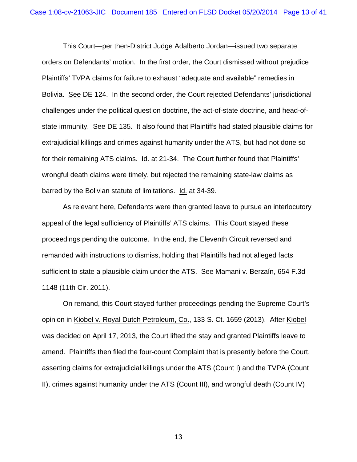This Court—per then-District Judge Adalberto Jordan—issued two separate orders on Defendants' motion. In the first order, the Court dismissed without prejudice Plaintiffs' TVPA claims for failure to exhaust "adequate and available" remedies in Bolivia. See DE 124. In the second order, the Court rejected Defendants' jurisdictional challenges under the political question doctrine, the act-of-state doctrine, and head-ofstate immunity. See DE 135. It also found that Plaintiffs had stated plausible claims for extrajudicial killings and crimes against humanity under the ATS, but had not done so for their remaining ATS claims. Id. at 21-34. The Court further found that Plaintiffs' wrongful death claims were timely, but rejected the remaining state-law claims as barred by the Bolivian statute of limitations. Id. at 34-39.

As relevant here, Defendants were then granted leave to pursue an interlocutory appeal of the legal sufficiency of Plaintiffs' ATS claims. This Court stayed these proceedings pending the outcome. In the end, the Eleventh Circuit reversed and remanded with instructions to dismiss, holding that Plaintiffs had not alleged facts sufficient to state a plausible claim under the ATS. See Mamani v. Berzaín, 654 F.3d 1148 (11th Cir. 2011).

On remand, this Court stayed further proceedings pending the Supreme Court's opinion in Kiobel v. Royal Dutch Petroleum, Co., 133 S. Ct. 1659 (2013). After Kiobel was decided on April 17, 2013, the Court lifted the stay and granted Plaintiffs leave to amend. Plaintiffs then filed the four-count Complaint that is presently before the Court, asserting claims for extrajudicial killings under the ATS (Count I) and the TVPA (Count II), crimes against humanity under the ATS (Count III), and wrongful death (Count IV)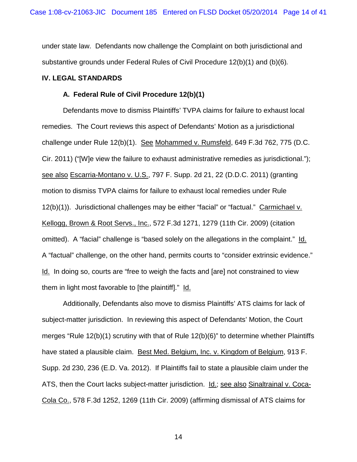under state law. Defendants now challenge the Complaint on both jurisdictional and substantive grounds under Federal Rules of Civil Procedure 12(b)(1) and (b)(6)*.*

#### **IV. LEGAL STANDARDS**

#### **A. Federal Rule of Civil Procedure 12(b)(1)**

Defendants move to dismiss Plaintiffs' TVPA claims for failure to exhaust local remedies. The Court reviews this aspect of Defendants' Motion as a jurisdictional challenge under Rule 12(b)(1). See Mohammed v. Rumsfeld, 649 F.3d 762, 775 (D.C. Cir. 2011) ("[W]e view the failure to exhaust administrative remedies as jurisdictional."); see also Escarria-Montano v. U.S., 797 F. Supp. 2d 21, 22 (D.D.C. 2011) (granting motion to dismiss TVPA claims for failure to exhaust local remedies under Rule 12(b)(1)). Jurisdictional challenges may be either "facial" or "factual." Carmichael v. Kellogg, Brown & Root Servs., Inc., 572 F.3d 1271, 1279 (11th Cir. 2009) (citation omitted). A "facial" challenge is "based solely on the allegations in the complaint." Id. A "factual" challenge, on the other hand, permits courts to "consider extrinsic evidence." Id. In doing so, courts are "free to weigh the facts and [are] not constrained to view them in light most favorable to [the plaintiff]." Id.

Additionally, Defendants also move to dismiss Plaintiffs' ATS claims for lack of subject-matter jurisdiction. In reviewing this aspect of Defendants' Motion, the Court merges "Rule 12(b)(1) scrutiny with that of Rule 12(b)(6)" to determine whether Plaintiffs have stated a plausible claim. Best Med. Belgium, Inc. v. Kingdom of Belgium, 913 F. Supp. 2d 230, 236 (E.D. Va. 2012). If Plaintiffs fail to state a plausible claim under the ATS, then the Court lacks subject-matter jurisdiction. Id.; see also Sinaltrainal v. Coca-Cola Co., 578 F.3d 1252, 1269 (11th Cir. 2009) (affirming dismissal of ATS claims for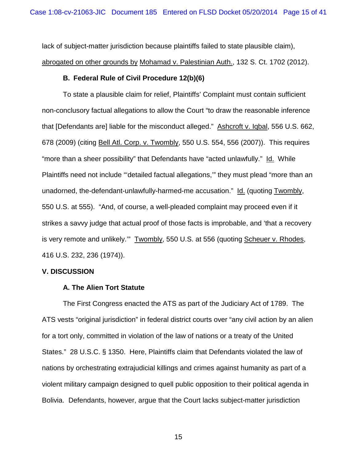lack of subject-matter jurisdiction because plaintiffs failed to state plausible claim), abrogated on other grounds by Mohamad v. Palestinian Auth., 132 S. Ct. 1702 (2012).

## **B. Federal Rule of Civil Procedure 12(b)(6)**

To state a plausible claim for relief, Plaintiffs' Complaint must contain sufficient non-conclusory factual allegations to allow the Court "to draw the reasonable inference that [Defendants are] liable for the misconduct alleged." Ashcroft v. Iqbal, 556 U.S. 662, 678 (2009) (citing Bell Atl. Corp. v. Twombly, 550 U.S. 554, 556 (2007)). This requires "more than a sheer possibility" that Defendants have "acted unlawfully." Id. While Plaintiffs need not include "'detailed factual allegations,'" they must plead "more than an unadorned, the-defendant-unlawfully-harmed-me accusation." Id. (quoting Twombly, 550 U.S. at 555). "And, of course, a well-pleaded complaint may proceed even if it strikes a savvy judge that actual proof of those facts is improbable, and 'that a recovery is very remote and unlikely.'" Twombly, 550 U.S. at 556 (quoting Scheuer v. Rhodes, 416 U.S. 232, 236 (1974)).

## **V. DISCUSSION**

## **A. The Alien Tort Statute**

The First Congress enacted the ATS as part of the Judiciary Act of 1789. The ATS vests "original jurisdiction" in federal district courts over "any civil action by an alien for a tort only, committed in violation of the law of nations or a treaty of the United States." 28 U.S.C. § 1350. Here, Plaintiffs claim that Defendants violated the law of nations by orchestrating extrajudicial killings and crimes against humanity as part of a violent military campaign designed to quell public opposition to their political agenda in Bolivia. Defendants, however, argue that the Court lacks subject-matter jurisdiction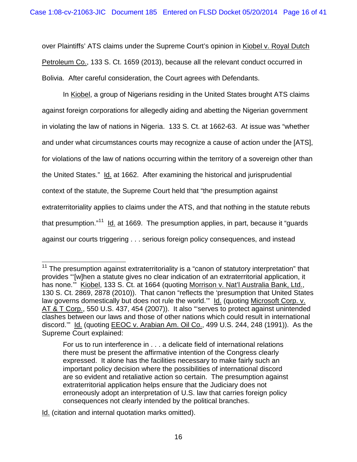over Plaintiffs' ATS claims under the Supreme Court's opinion in Kiobel v. Royal Dutch Petroleum Co., 133 S. Ct. 1659 (2013), because all the relevant conduct occurred in Bolivia. After careful consideration, the Court agrees with Defendants.

In Kiobel, a group of Nigerians residing in the United States brought ATS claims against foreign corporations for allegedly aiding and abetting the Nigerian government in violating the law of nations in Nigeria. 133 S. Ct. at 1662-63. At issue was "whether and under what circumstances courts may recognize a cause of action under the [ATS], for violations of the law of nations occurring within the territory of a sovereign other than the United States." Id. at 1662. After examining the historical and jurisprudential context of the statute, the Supreme Court held that "the presumption against extraterritoriality applies to claims under the ATS, and that nothing in the statute rebuts that presumption."<sup>[11](#page-11-0)</sup> ld. at 1669. The presumption applies, in part, because it "guards against our courts triggering . . . serious foreign policy consequences, and instead

<span id="page-15-0"></span>Id. (citation and internal quotation marks omitted).

 $11$  The presumption against extraterritoriality is a "canon of statutory interpretation" that provides "'[w]hen a statute gives no clear indication of an extraterritorial application, it has none."" Kiobel, 133 S. Ct. at 1664 (quoting Morrison v. Nat'l Australia Bank, Ltd., 130 S. Ct. 2869, 2878 (2010)). That canon "reflects the 'presumption that United States law governs domestically but does not rule the world." Id. (quoting Microsoft Corp. v. AT & T Corp., 550 U.S. 437, 454 (2007)). It also "'serves to protect against unintended clashes between our laws and those of other nations which could result in international discord.'" Id. (quoting EEOC v. Arabian Am. Oil Co., 499 U.S. 244, 248 (1991)). As the Supreme Court explained:

For us to run interference in . . . a delicate field of international relations there must be present the affirmative intention of the Congress clearly expressed. It alone has the facilities necessary to make fairly such an important policy decision where the possibilities of international discord are so evident and retaliative action so certain. The presumption against extraterritorial application helps ensure that the Judiciary does not erroneously adopt an interpretation of U.S. law that carries foreign policy consequences not clearly intended by the political branches.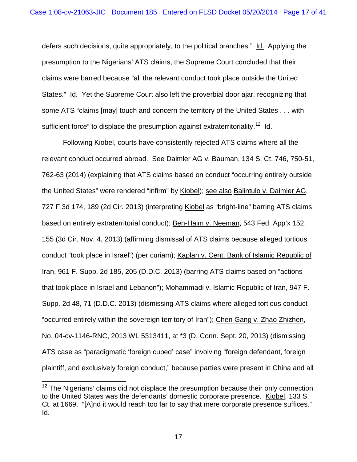defers such decisions, quite appropriately, to the political branches." Id. Applying the presumption to the Nigerians' ATS claims, the Supreme Court concluded that their claims were barred because "all the relevant conduct took place outside the United States." Id. Yet the Supreme Court also left the proverbial door ajar, recognizing that some ATS "claims [may] touch and concern the territory of the United States . . . with sufficient force" to displace the presumption against extraterritoriality.<sup>[12](#page-15-0)</sup> ld.

<span id="page-16-0"></span>Following Kiobel, courts have consistently rejected ATS claims where all the relevant conduct occurred abroad. See Daimler AG v. Bauman, 134 S. Ct. 746, 750-51, 762-63 (2014) (explaining that ATS claims based on conduct "occurring entirely outside the United States" were rendered "infirm" by Kiobel); see also Balintulo v. Daimler AG, 727 F.3d 174, 189 (2d Cir. 2013) (interpreting Kiobel as "bright-line" barring ATS claims based on entirely extraterritorial conduct); Ben-Haim v. Neeman, 543 Fed. App'x 152, 155 (3d Cir. Nov. 4, 2013) (affirming dismissal of ATS claims because alleged tortious conduct "took place in Israel") (per curiam); Kaplan v. Cent. Bank of Islamic Republic of Iran, 961 F. Supp. 2d 185, 205 (D.D.C. 2013) (barring ATS claims based on "actions that took place in Israel and Lebanon"); Mohammadi v. Islamic Republic of Iran, 947 F. Supp. 2d 48, 71 (D.D.C. 2013) (dismissing ATS claims where alleged tortious conduct "occurred entirely within the sovereign territory of Iran"); Chen Gang v. Zhao Zhizhen, No. 04-cv-1146-RNC, 2013 WL 5313411, at \*3 (D. Conn. Sept. 20, 2013) (dismissing ATS case as "paradigmatic 'foreign cubed' case" involving "foreign defendant, foreign plaintiff, and exclusively foreign conduct," because parties were present in China and all

 $12$  The Nigerians' claims did not displace the presumption because their only connection to the United States was the defendants' domestic corporate presence. Kiobel, 133 S. Ct. at 1669. "[A]nd it would reach too far to say that mere corporate presence suffices." Id.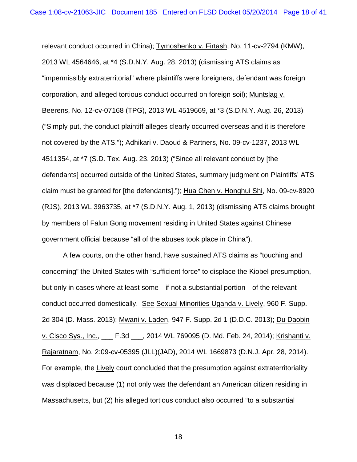relevant conduct occurred in China); Tymoshenko v. Firtash, No. 11-cv-2794 (KMW), 2013 WL 4564646, at \*4 (S.D.N.Y. Aug. 28, 2013) (dismissing ATS claims as "impermissibly extraterritorial" where plaintiffs were foreigners, defendant was foreign corporation, and alleged tortious conduct occurred on foreign soil); Muntslag v. Beerens, No. 12-cv-07168 (TPG), 2013 WL 4519669, at \*3 (S.D.N.Y. Aug. 26, 2013) ("Simply put, the conduct plaintiff alleges clearly occurred overseas and it is therefore not covered by the ATS."); Adhikari v. Daoud & Partners, No. 09-cv-1237, 2013 WL 4511354, at \*7 (S.D. Tex. Aug. 23, 2013) ("Since all relevant conduct by [the defendants] occurred outside of the United States, summary judgment on Plaintiffs' ATS claim must be granted for [the defendants]."); Hua Chen v. Honghui Shi, No. 09-cv-8920 (RJS), 2013 WL 3963735, at \*7 (S.D.N.Y. Aug. 1, 2013) (dismissing ATS claims brought by members of Falun Gong movement residing in United States against Chinese government official because "all of the abuses took place in China").

A few courts, on the other hand, have sustained ATS claims as "touching and concerning" the United States with "sufficient force" to displace the Kiobel presumption, but only in cases where at least some—if not a substantial portion—of the relevant conduct occurred domestically. See Sexual Minorities Uganda v. Lively, 960 F. Supp. 2d 304 (D. Mass. 2013); Mwani v. Laden, 947 F. Supp. 2d 1 (D.D.C. 2013); Du Daobin v. Cisco Sys., Inc., \_\_\_ F.3d \_\_\_, 2014 WL 769095 (D. Md. Feb. 24, 2014); Krishanti v. Rajaratnam, No. 2:09-cv-05395 (JLL)(JAD), 2014 WL 1669873 (D.N.J. Apr. 28, 2014). For example, the Lively court concluded that the presumption against extraterritoriality was displaced because (1) not only was the defendant an American citizen residing in Massachusetts, but (2) his alleged tortious conduct also occurred "to a substantial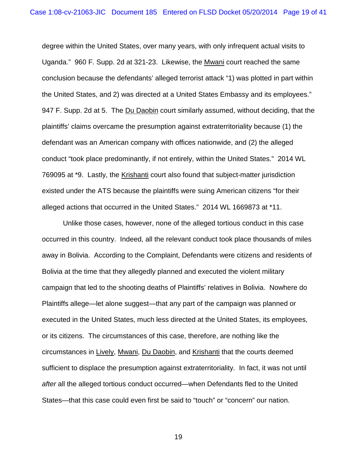degree within the United States, over many years, with only infrequent actual visits to Uganda." 960 F. Supp. 2d at 321-23. Likewise, the Mwani court reached the same conclusion because the defendants' alleged terrorist attack "1) was plotted in part within the United States, and 2) was directed at a United States Embassy and its employees." 947 F. Supp. 2d at 5. The Du Daobin court similarly assumed, without deciding, that the plaintiffs' claims overcame the presumption against extraterritoriality because (1) the defendant was an American company with offices nationwide, and (2) the alleged conduct "took place predominantly, if not entirely, within the United States." 2014 WL 769095 at \*9. Lastly, the Krishanti court also found that subject-matter jurisdiction existed under the ATS because the plaintiffs were suing American citizens "for their alleged actions that occurred in the United States." 2014 WL 1669873 at \*11.

Unlike those cases, however, none of the alleged tortious conduct in this case occurred in this country. Indeed, all the relevant conduct took place thousands of miles away in Bolivia. According to the Complaint, Defendants were citizens and residents of Bolivia at the time that they allegedly planned and executed the violent military campaign that led to the shooting deaths of Plaintiffs' relatives in Bolivia. Nowhere do Plaintiffs allege—let alone suggest—that any part of the campaign was planned or executed in the United States, much less directed at the United States, its employees, or its citizens. The circumstances of this case, therefore, are nothing like the circumstances in Lively, Mwani, Du Daobin, and Krishanti that the courts deemed sufficient to displace the presumption against extraterritoriality. In fact, it was not until *after* all the alleged tortious conduct occurred—when Defendants fled to the United States—that this case could even first be said to "touch" or "concern" our nation.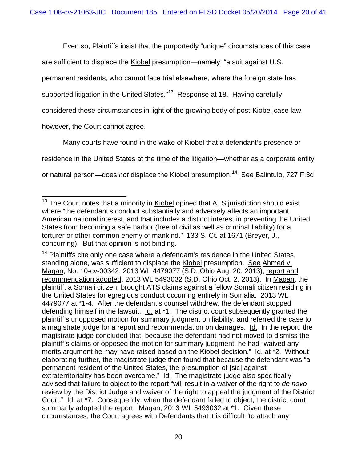Even so, Plaintiffs insist that the purportedly "unique" circumstances of this case

are sufficient to displace the Kiobel presumption—namely, "a suit against U.S.

permanent residents, who cannot face trial elsewhere, where the foreign state has

supported litigation in the United States."<sup>13</sup> Response at 18. Having carefully

considered these circumstances in light of the growing body of post-Kiobel case law,

however, the Court cannot agree.

Many courts have found in the wake of Kiobel that a defendant's presence or

residence in the United States at the time of the litigation—whether as a corporate entity

or natural person—does *not* displace the <u>Kiobel</u> presumption.<sup>14</sup> See Balintulo, 727 F.3d

 $13$  The Court notes that a minority in Kiobel opined that ATS iurisdiction should exist where "the defendant's conduct substantially and adversely affects an important American national interest, and that includes a distinct interest in preventing the United States from becoming a safe harbor (free of civil as well as criminal liability) for a torturer or other common enemy of mankind." 133 S. Ct. at 1671 (Breyer, J., concurring). But that opinion is not binding.

<span id="page-19-1"></span><span id="page-19-0"></span> $14$  Plaintiffs cite only one case where a defendant's residence in the United States, standing alone, was sufficient to displace the Kiobel presumption. See Ahmed v. Magan, No. 10-cv-00342, 2013 WL 4479077 (S.D. Ohio Aug. 20, 2013), report and recommendation adopted, 2013 WL 5493032 (S.D. Ohio Oct. 2, 2013). In Magan, the plaintiff, a Somali citizen, brought ATS claims against a fellow Somali citizen residing in the United States for egregious conduct occurring entirely in Somalia. 2013 WL 4479077 at \*1-4. After the defendant's counsel withdrew, the defendant stopped defending himself in the lawsuit. Id. at \*1. The district court subsequently granted the plaintiff's unopposed motion for summary judgment on liability, and referred the case to a magistrate judge for a report and recommendation on damages. Id. In the report, the magistrate judge concluded that, because the defendant had not moved to dismiss the plaintiff's claims or opposed the motion for summary judgment, he had "waived any merits argument he may have raised based on the Kiobel decision." Id. at \*2. Without elaborating further, the magistrate judge then found that because the defendant was "a permanent resident of the United States, the presumption of [sic] against extraterritoriality has been overcome." Id. The magistrate judge also specifically advised that failure to object to the report "will result in a waiver of the right to *de novo* review by the District Judge and waiver of the right to appeal the judgment of the District Court." Id. at \*7. Consequently, when the defendant failed to object, the district court summarily adopted the report. Magan, 2013 WL 5493032 at \*1. Given these circumstances, the Court agrees with Defendants that it is difficult "to attach any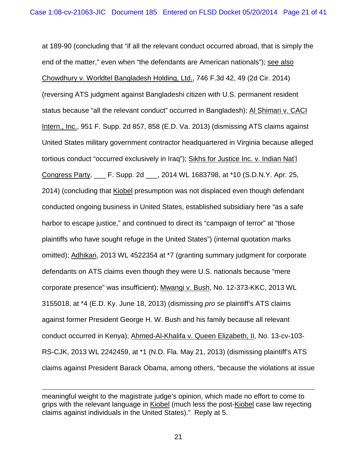at 189-90 (concluding that "if all the relevant conduct occurred abroad, that is simply the end of the matter," even when "the defendants are American nationals"); see also Chowdhury v. Worldtel Bangladesh Holding, Ltd., 746 F.3d 42, 49 (2d Cir. 2014) (reversing ATS judgment against Bangladeshi citizen with U.S. permanent resident status because "all the relevant conduct" occurred in Bangladesh); Al Shimari v. CACI Intern., Inc., 951 F. Supp. 2d 857, 858 (E.D. Va. 2013) (dismissing ATS claims against United States military government contractor headquartered in Virginia because alleged tortious conduct "occurred exclusively in Iraq"); Sikhs for Justice Inc. v. Indian Nat'l Congress Party, \_\_\_ F. Supp. 2d \_\_\_, 2014 WL 1683798, at \*10 (S.D.N.Y. Apr. 25, 2014) (concluding that Kiobel presumption was not displaced even though defendant conducted ongoing business in United States, established subsidiary here "as a safe harbor to escape justice," and continued to direct its "campaign of terror" at "those plaintiffs who have sought refuge in the United States") (internal quotation marks omitted); Adhikari, 2013 WL 4522354 at \*7 (granting summary judgment for corporate defendants on ATS claims even though they were U.S. nationals because "mere corporate presence" was insufficient); Mwangi v. Bush, No. 12-373-KKC, 2013 WL 3155018, at \*4 (E.D. Ky. June 18, 2013) (dismissing *pro se* plaintiff's ATS claims against former President George H. W. Bush and his family because all relevant conduct occurred in Kenya); Ahmed-Al-Khalifa v. Queen Elizabeth, II, No. 13-cv-103- RS-CJK, 2013 WL 2242459, at \*1 (N.D. Fla. May 21, 2013) (dismissing plaintiff's ATS claims against President Barack Obama, among others, "because the violations at issue

 $\overline{a}$ 

meaningful weight to the magistrate judge's opinion, which made no effort to come to grips with the relevant language in Kiobel (much less the post-Kiobel case law rejecting claims against individuals in the United States)." Reply at 5.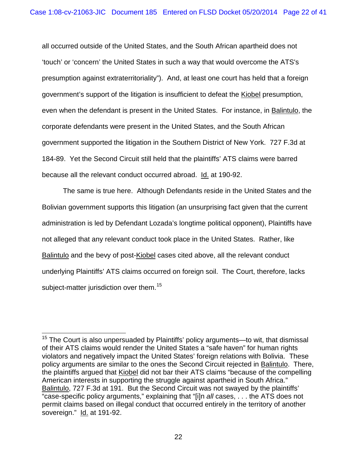all occurred outside of the United States, and the South African apartheid does not 'touch' or 'concern' the United States in such a way that would overcome the ATS's presumption against extraterritoriality"). And, at least one court has held that a foreign government's support of the litigation is insufficient to defeat the Kiobel presumption, even when the defendant is present in the United States. For instance, in Balintulo, the corporate defendants were present in the United States, and the South African government supported the litigation in the Southern District of New York. 727 F.3d at 184-89. Yet the Second Circuit still held that the plaintiffs' ATS claims were barred because all the relevant conduct occurred abroad. Id. at 190-92.

<span id="page-21-0"></span>The same is true here. Although Defendants reside in the United States and the Bolivian government supports this litigation (an unsurprising fact given that the current administration is led by Defendant Lozada's longtime political opponent), Plaintiffs have not alleged that any relevant conduct took place in the United States. Rather, like Balintulo and the bevy of post-Kiobel cases cited above, all the relevant conduct underlying Plaintiffs' ATS claims occurred on foreign soil. The Court, therefore, lacks subject-matter jurisdiction over them.<sup>15</sup>

<sup>&</sup>lt;sup>15</sup> The Court is also unpersuaded by Plaintiffs' policy arguments—to wit, that dismissal of their ATS claims would render the United States a "safe haven" for human rights violators and negatively impact the United States' foreign relations with Bolivia. These policy arguments are similar to the ones the Second Circuit rejected in Balintulo. There, the plaintiffs argued that Kiobel did not bar their ATS claims "because of the compelling American interests in supporting the struggle against apartheid in South Africa." Balintulo, 727 F.3d at 191. But the Second Circuit was not swayed by the plaintiffs' "case-specific policy arguments," explaining that "[i]n *all* cases, . . . the ATS does not permit claims based on illegal conduct that occurred entirely in the territory of another sovereign." Id. at 191-92.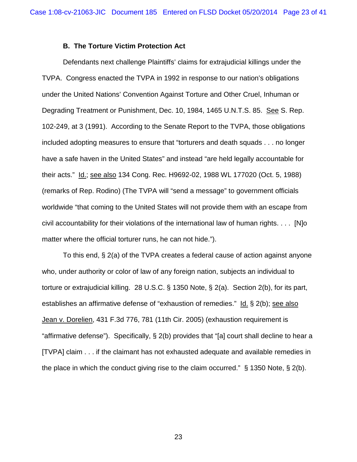## **B. The Torture Victim Protection Act**

Defendants next challenge Plaintiffs' claims for extrajudicial killings under the TVPA. Congress enacted the TVPA in 1992 in response to our nation's obligations under the United Nations' Convention Against Torture and Other Cruel, Inhuman or Degrading Treatment or Punishment, Dec. 10, 1984, 1465 U.N.T.S. 85. See S. Rep. 102-249, at 3 (1991). According to the Senate Report to the TVPA, those obligations included adopting measures to ensure that "torturers and death squads . . . no longer have a safe haven in the United States" and instead "are held legally accountable for their acts." Id.; see also 134 Cong. Rec. H9692-02, 1988 WL 177020 (Oct. 5, 1988) (remarks of Rep. Rodino) (The TVPA will "send a message" to government officials worldwide "that coming to the United States will not provide them with an escape from civil accountability for their violations of the international law of human rights. . . . [N]o matter where the official torturer runs, he can not hide.").

To this end, § 2(a) of the TVPA creates a federal cause of action against anyone who, under authority or color of law of any foreign nation, subjects an individual to torture or extrajudicial killing. 28 U.S.C. § 1350 Note, § 2(a). Section 2(b), for its part, establishes an affirmative defense of "exhaustion of remedies." Id. § 2(b); see also Jean v. Dorelien, 431 F.3d 776, 781 (11th Cir. 2005) (exhaustion requirement is "affirmative defense"). Specifically, § 2(b) provides that "[a] court shall decline to hear a [TVPA] claim . . . if the claimant has not exhausted adequate and available remedies in the place in which the conduct giving rise to the claim occurred."  $\S$  1350 Note,  $\S$  2(b).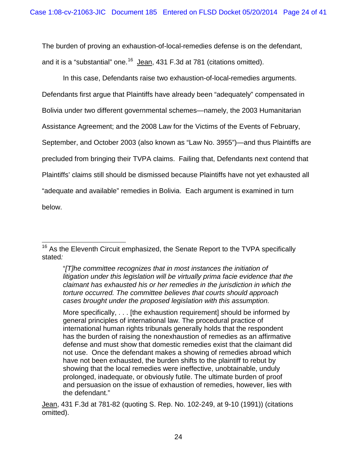The burden of proving an exhaustion-of-local-remedies defense is on the defendant, and it is a "substantial" one.<sup>[16](#page-21-0)</sup> Jean, 431 F.3d at 781 (citations omitted).

In this case, Defendants raise two exhaustion-of-local-remedies arguments. Defendants first argue that Plaintiffs have already been "adequately" compensated in Bolivia under two different governmental schemes—namely, the 2003 Humanitarian Assistance Agreement; and the 2008 Law for the Victims of the Events of February, September, and October 2003 (also known as "Law No. 3955")—and thus Plaintiffs are precluded from bringing their TVPA claims. Failing that, Defendants next contend that Plaintiffs' claims still should be dismissed because Plaintiffs have not yet exhausted all "adequate and available" remedies in Bolivia. Each argument is examined in turn below.

 $16$  As the Eleventh Circuit emphasized, the Senate Report to the TVPA specifically stated*:* 

<sup>&</sup>quot;*[T]he committee recognizes that in most instances the initiation of litigation under this legislation will be virtually prima facie evidence that the claimant has exhausted his or her remedies in the jurisdiction in which the torture occurred. The committee believes that courts should approach cases brought under the proposed legislation with this assumption.*

<span id="page-23-0"></span>More specifically, . . . [the exhaustion requirement] should be informed by general principles of international law. The procedural practice of international human rights tribunals generally holds that the respondent has the burden of raising the nonexhaustion of remedies as an affirmative defense and must show that domestic remedies exist that the claimant did not use. Once the defendant makes a showing of remedies abroad which have not been exhausted, the burden shifts to the plaintiff to rebut by showing that the local remedies were ineffective, unobtainable, unduly prolonged, inadequate, or obviously futile. The ultimate burden of proof and persuasion on the issue of exhaustion of remedies, however, lies with the defendant."

Jean, 431 F.3d at 781-82 (quoting S. Rep. No. 102-249, at 9-10 (1991)) (citations omitted).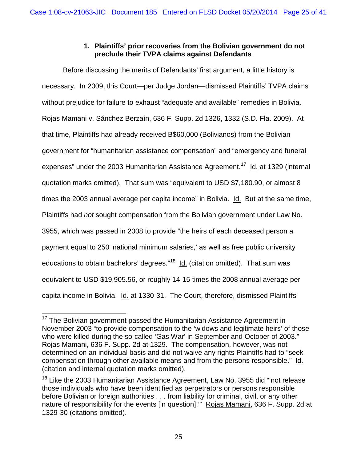# **1. Plaintiffs' prior recoveries from the Bolivian government do not preclude their TVPA claims against Defendants**

Before discussing the merits of Defendants' first argument, a little history is necessary. In 2009, this Court—per Judge Jordan—dismissed Plaintiffs' TVPA claims without prejudice for failure to exhaust "adequate and available" remedies in Bolivia. Rojas Mamani v. Sánchez Berzaín, 636 F. Supp. 2d 1326, 1332 (S.D. Fla. 2009). At that time, Plaintiffs had already received B\$60,000 (Bolivianos) from the Bolivian government for "humanitarian assistance compensation" and "emergency and funeral expenses" under the 2003 Humanitarian Assistance Agreement.<sup>[17](#page-23-0)</sup> Id. at 1329 (internal quotation marks omitted). That sum was "equivalent to USD \$7,180.90, or almost 8 times the 2003 annual average per capita income" in Bolivia. Id. But at the same time, Plaintiffs had *not* sought compensation from the Bolivian government under Law No. 3955, which was passed in 2008 to provide "the heirs of each deceased person a payment equal to 250 'national minimum salaries,' as well as free public university educations to obtain bachelors' degrees."[18](#page-24-0) Id. (citation omitted). That sum was equivalent to USD \$19,905.56, or roughly 14-15 times the 2008 annual average per capita income in Bolivia. Id. at 1330-31. The Court, therefore, dismissed Plaintiffs'

<sup>&</sup>lt;sup>17</sup> The Bolivian government passed the Humanitarian Assistance Agreement in November 2003 "to provide compensation to the 'widows and legitimate heirs' of those who were killed during the so-called 'Gas War' in September and October of 2003." Rojas Mamani, 636 F. Supp. 2d at 1329. The compensation, however, was not determined on an individual basis and did not waive any rights Plaintiffs had to "seek compensation through other available means and from the persons responsible." Id. (citation and internal quotation marks omitted).

<span id="page-24-1"></span><span id="page-24-0"></span><sup>&</sup>lt;sup>18</sup> Like the 2003 Humanitarian Assistance Agreement, Law No. 3955 did "not release those individuals who have been identified as perpetrators or persons responsible before Bolivian or foreign authorities . . . from liability for criminal, civil, or any other nature of responsibility for the events [in question]." Rojas Mamani, 636 F. Supp. 2d at 1329-30 (citations omitted).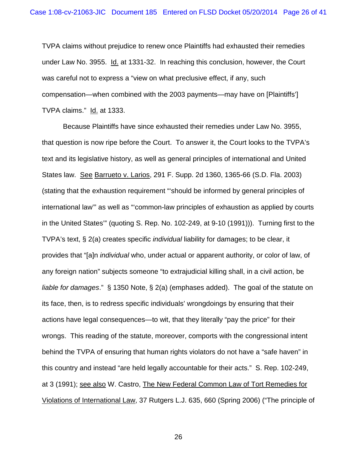TVPA claims without prejudice to renew once Plaintiffs had exhausted their remedies under Law No. 3955. Id. at 1331-32. In reaching this conclusion, however, the Court was careful not to express a "view on what preclusive effect, if any, such compensation—when combined with the 2003 payments—may have on [Plaintiffs'] TVPA claims." Id. at 1333.

Because Plaintiffs have since exhausted their remedies under Law No. 3955, that question is now ripe before the Court. To answer it, the Court looks to the TVPA's text and its legislative history, as well as general principles of international and United States law. See Barrueto v. Larios, 291 F. Supp. 2d 1360, 1365-66 (S.D. Fla. 2003) (stating that the exhaustion requirement "'should be informed by general principles of international law'" as well as "'common-law principles of exhaustion as applied by courts in the United States'" (quoting S. Rep. No. 102-249, at 9-10 (1991))). Turning first to the TVPA's text, § 2(a) creates specific *individual* liability for damages; to be clear, it provides that "[a]n *individual* who, under actual or apparent authority, or color of law, of any foreign nation" subjects someone "to extrajudicial killing shall, in a civil action, be *liable for damages*." § 1350 Note, § 2(a) (emphases added). The goal of the statute on its face, then, is to redress specific individuals' wrongdoings by ensuring that their actions have legal consequences—to wit, that they literally "pay the price" for their wrongs. This reading of the statute, moreover, comports with the congressional intent behind the TVPA of ensuring that human rights violators do not have a "safe haven" in this country and instead "are held legally accountable for their acts." S. Rep. 102-249, at 3 (1991); see also W. Castro, The New Federal Common Law of Tort Remedies for Violations of International Law, 37 Rutgers L.J. 635, 660 (Spring 2006) ("The principle of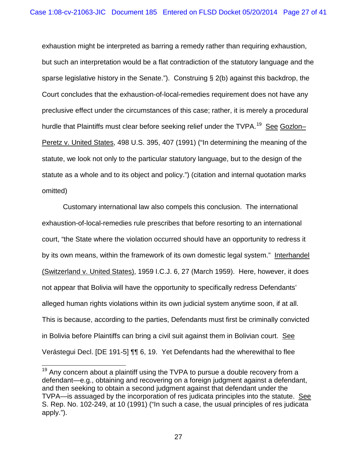exhaustion might be interpreted as barring a remedy rather than requiring exhaustion, but such an interpretation would be a flat contradiction of the statutory language and the sparse legislative history in the Senate."). Construing § 2(b) against this backdrop, the Court concludes that the exhaustion-of-local-remedies requirement does not have any preclusive effect under the circumstances of this case; rather, it is merely a procedural hurdle that Plaintiffs must clear before seeking relief under the TVPA.<sup>19</sup> See Gozlon– Peretz v. United States, 498 U.S. 395, 407 (1991) ("In determining the meaning of the statute, we look not only to the particular statutory language, but to the design of the statute as a whole and to its object and policy.") (citation and internal quotation marks omitted)

Customary international law also compels this conclusion. The international exhaustion-of-local-remedies rule prescribes that before resorting to an international court, "the State where the violation occurred should have an opportunity to redress it by its own means, within the framework of its own domestic legal system." Interhandel (Switzerland v. United States), 1959 I.C.J. 6, 27 (March 1959). Here, however, it does not appear that Bolivia will have the opportunity to specifically redress Defendants' alleged human rights violations within its own judicial system anytime soon, if at all. This is because, according to the parties, Defendants must first be criminally convicted in Bolivia before Plaintiffs can bring a civil suit against them in Bolivian court. See Verástegui Decl. [DE 191-5] ¶¶ 6, 19. Yet Defendants had the wherewithal to flee

<span id="page-26-0"></span> $19$  Anv concern about a plaintiff using the TVPA to pursue a double recovery from a defendant—e.g., obtaining and recovering on a foreign judgment against a defendant, and then seeking to obtain a second judgment against that defendant under the TVPA—is assuaged by the incorporation of res judicata principles into the statute. See S. Rep. No. 102-249, at 10 (1991) ("In such a case, the usual principles of res judicata apply.").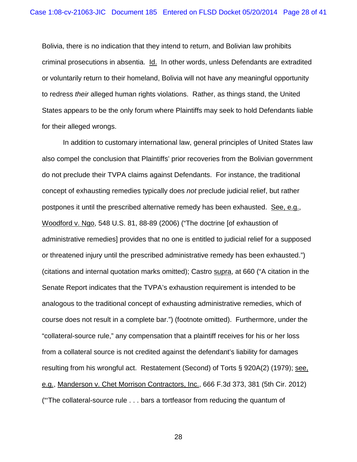Bolivia, there is no indication that they intend to return, and Bolivian law prohibits criminal prosecutions in absentia. Id. In other words, unless Defendants are extradited or voluntarily return to their homeland, Bolivia will not have any meaningful opportunity to redress *their* alleged human rights violations. Rather, as things stand, the United States appears to be the only forum where Plaintiffs may seek to hold Defendants liable for their alleged wrongs.

In addition to customary international law, general principles of United States law also compel the conclusion that Plaintiffs' prior recoveries from the Bolivian government do not preclude their TVPA claims against Defendants. For instance, the traditional concept of exhausting remedies typically does *not* preclude judicial relief, but rather postpones it until the prescribed alternative remedy has been exhausted. See, e.g., Woodford v. Ngo, 548 U.S. 81, 88-89 (2006) ("The doctrine [of exhaustion of administrative remedies] provides that no one is entitled to judicial relief for a supposed or threatened injury until the prescribed administrative remedy has been exhausted.") (citations and internal quotation marks omitted); Castro supra, at 660 ("A citation in the Senate Report indicates that the TVPA's exhaustion requirement is intended to be analogous to the traditional concept of exhausting administrative remedies, which of course does not result in a complete bar.") (footnote omitted). Furthermore, under the "collateral-source rule," any compensation that a plaintiff receives for his or her loss from a collateral source is not credited against the defendant's liability for damages resulting from his wrongful act. Restatement (Second) of Torts § 920A(2) (1979); see, e.g., Manderson v. Chet Morrison Contractors, Inc., 666 F.3d 373, 381 (5th Cir. 2012) ("'The collateral-source rule . . . bars a tortfeasor from reducing the quantum of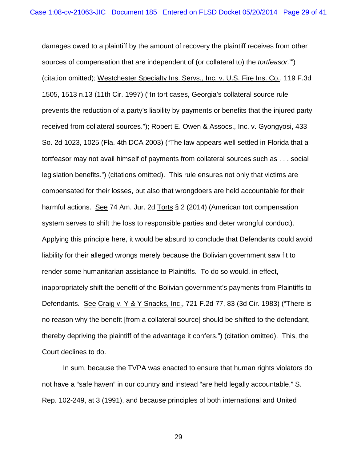damages owed to a plaintiff by the amount of recovery the plaintiff receives from other sources of compensation that are independent of (or collateral to) the *tortfeasor.*'") (citation omitted); Westchester Specialty Ins. Servs., Inc. v. U.S. Fire Ins. Co., 119 F.3d 1505, 1513 n.13 (11th Cir. 1997) ("In tort cases, Georgia's collateral source rule prevents the reduction of a party's liability by payments or benefits that the injured party received from collateral sources."); Robert E. Owen & Assocs., Inc. v. Gyongyosi, 433 So. 2d 1023, 1025 (Fla. 4th DCA 2003) ("The law appears well settled in Florida that a tortfeasor may not avail himself of payments from collateral sources such as . . . social legislation benefits.") (citations omitted). This rule ensures not only that victims are compensated for their losses, but also that wrongdoers are held accountable for their harmful actions. See 74 Am. Jur. 2d Torts § 2 (2014) (American tort compensation system serves to shift the loss to responsible parties and deter wrongful conduct). Applying this principle here, it would be absurd to conclude that Defendants could avoid liability for their alleged wrongs merely because the Bolivian government saw fit to render some humanitarian assistance to Plaintiffs. To do so would, in effect, inappropriately shift the benefit of the Bolivian government's payments from Plaintiffs to Defendants. See Craig v. Y & Y Snacks, Inc., 721 F.2d 77, 83 (3d Cir. 1983) ("There is no reason why the benefit [from a collateral source] should be shifted to the defendant, thereby depriving the plaintiff of the advantage it confers.") (citation omitted). This, the Court declines to do.

In sum, because the TVPA was enacted to ensure that human rights violators do not have a "safe haven" in our country and instead "are held legally accountable," S. Rep. 102-249, at 3 (1991), and because principles of both international and United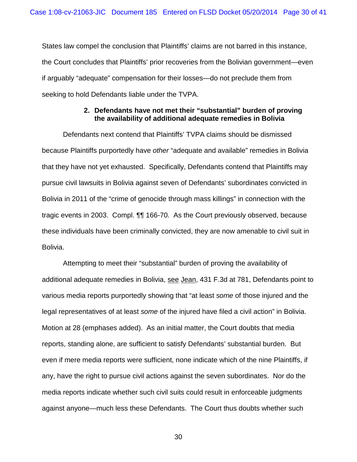States law compel the conclusion that Plaintiffs' claims are not barred in this instance, the Court concludes that Plaintiffs' prior recoveries from the Bolivian government—even if arguably "adequate" compensation for their losses—do not preclude them from seeking to hold Defendants liable under the TVPA.

## **2. Defendants have not met their "substantial" burden of proving the availability of additional adequate remedies in Bolivia**

Defendants next contend that Plaintiffs' TVPA claims should be dismissed because Plaintiffs purportedly have *other* "adequate and available" remedies in Bolivia that they have not yet exhausted. Specifically, Defendants contend that Plaintiffs may pursue civil lawsuits in Bolivia against seven of Defendants' subordinates convicted in Bolivia in 2011 of the "crime of genocide through mass killings" in connection with the tragic events in 2003. Compl. ¶¶ 166-70. As the Court previously observed, because these individuals have been criminally convicted, they are now amenable to civil suit in Bolivia.

Attempting to meet their "substantial" burden of proving the availability of additional adequate remedies in Bolivia, see Jean, 431 F.3d at 781, Defendants point to various media reports purportedly showing that "at least *some* of those injured and the legal representatives of at least *some* of the injured have filed a civil action" in Bolivia. Motion at 28 (emphases added). As an initial matter, the Court doubts that media reports, standing alone, are sufficient to satisfy Defendants' substantial burden. But even if mere media reports were sufficient, none indicate which of the nine Plaintiffs, if any, have the right to pursue civil actions against the seven subordinates. Nor do the media reports indicate whether such civil suits could result in enforceable judgments against anyone—much less these Defendants.The Court thus doubts whether such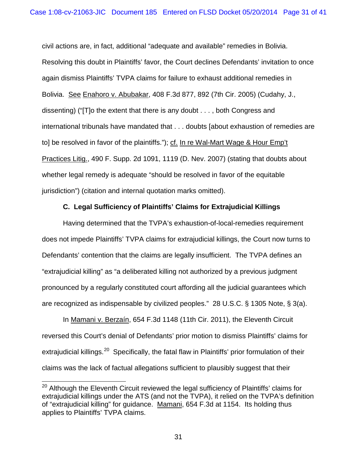civil actions are, in fact, additional "adequate and available" remedies in Bolivia. Resolving this doubt in Plaintiffs' favor, the Court declines Defendants' invitation to once again dismiss Plaintiffs' TVPA claims for failure to exhaust additional remedies in Bolivia. See Enahoro v. Abubakar, 408 F.3d 877, 892 (7th Cir. 2005) (Cudahy, J., dissenting) ("[T]o the extent that there is any doubt . . . , both Congress and international tribunals have mandated that . . . doubts [about exhaustion of remedies are to] be resolved in favor of the plaintiffs."); cf. In re Wal-Mart Wage & Hour Emp't Practices Litig., 490 F. Supp. 2d 1091, 1119 (D. Nev. 2007) (stating that doubts about whether legal remedy is adequate "should be resolved in favor of the equitable jurisdiction") (citation and internal quotation marks omitted).

# **C. Legal Sufficiency of Plaintiffs' Claims for Extrajudicial Killings**

Having determined that the TVPA's exhaustion-of-local-remedies requirement does not impede Plaintiffs' TVPA claims for extrajudicial killings, the Court now turns to Defendants' contention that the claims are legally insufficient. The TVPA defines an "extrajudicial killing" as "a deliberated killing not authorized by a previous judgment pronounced by a regularly constituted court affording all the judicial guarantees which are recognized as indispensable by civilized peoples." 28 U.S.C. § 1305 Note, § 3(a).

In Mamani v. Berzaín, 654 F.3d 1148 (11th Cir. 2011), the Eleventh Circuit reversed this Court's denial of Defendants' prior motion to dismiss Plaintiffs' claims for extrajudicial killings.<sup>[20](#page-26-0)</sup> Specifically, the fatal flaw in Plaintiffs' prior formulation of their claims was the lack of factual allegations sufficient to plausibly suggest that their

<span id="page-30-0"></span><sup>&</sup>lt;sup>20</sup> Although the Eleventh Circuit reviewed the legal sufficiency of Plaintiffs' claims for extrajudicial killings under the ATS (and not the TVPA), it relied on the TVPA's definition of "extrajudicial killing" for guidance. Mamani, 654 F.3d at 1154. Its holding thus applies to Plaintiffs' TVPA claims.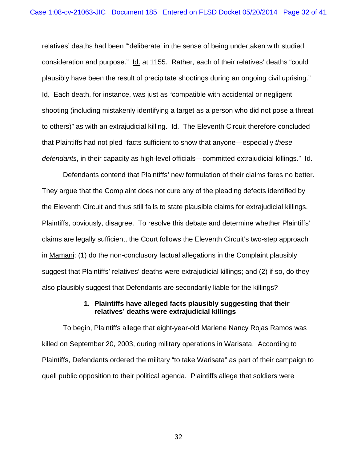relatives' deaths had been "'deliberate' in the sense of being undertaken with studied consideration and purpose." Id. at 1155. Rather, each of their relatives' deaths "could plausibly have been the result of precipitate shootings during an ongoing civil uprising." Id. Each death, for instance, was just as "compatible with accidental or negligent shooting (including mistakenly identifying a target as a person who did not pose a threat to others)" as with an extrajudicial killing. Id. The Eleventh Circuit therefore concluded that Plaintiffs had not pled "facts sufficient to show that anyone—especially *these defendants*, in their capacity as high-level officials—committed extrajudicial killings." Id.

Defendants contend that Plaintiffs' new formulation of their claims fares no better. They argue that the Complaint does not cure any of the pleading defects identified by the Eleventh Circuit and thus still fails to state plausible claims for extrajudicial killings. Plaintiffs, obviously, disagree. To resolve this debate and determine whether Plaintiffs' claims are legally sufficient, the Court follows the Eleventh Circuit's two-step approach in Mamani: (1) do the non-conclusory factual allegations in the Complaint plausibly suggest that Plaintiffs' relatives' deaths were extrajudicial killings; and (2) if so, do they also plausibly suggest that Defendants are secondarily liable for the killings?

## **1. Plaintiffs have alleged facts plausibly suggesting that their relatives' deaths were extrajudicial killings**

To begin, Plaintiffs allege that eight-year-old Marlene Nancy Rojas Ramos was killed on September 20, 2003, during military operations in Warisata. According to Plaintiffs, Defendants ordered the military "to take Warisata" as part of their campaign to quell public opposition to their political agenda. Plaintiffs allege that soldiers were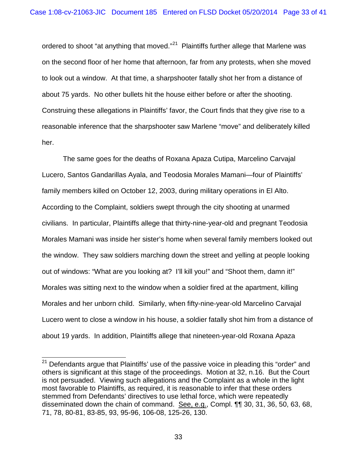ordered to shoot "at anything that moved."<sup>21</sup> Plaintiffs further allege that Marlene was on the second floor of her home that afternoon, far from any protests, when she moved to look out a window. At that time, a sharpshooter fatally shot her from a distance of about 75 yards. No other bullets hit the house either before or after the shooting. Construing these allegations in Plaintiffs' favor, the Court finds that they give rise to a reasonable inference that the sharpshooter saw Marlene "move" and deliberately killed her.

<span id="page-32-0"></span>The same goes for the deaths of Roxana Apaza Cutipa, Marcelino Carvajal Lucero, Santos Gandarillas Ayala, and Teodosia Morales Mamani—four of Plaintiffs' family members killed on October 12, 2003, during military operations in El Alto. According to the Complaint, soldiers swept through the city shooting at unarmed civilians. In particular, Plaintiffs allege that thirty-nine-year-old and pregnant Teodosia Morales Mamani was inside her sister's home when several family members looked out the window. They saw soldiers marching down the street and yelling at people looking out of windows: "What are you looking at? I'll kill you!" and "Shoot them, damn it!" Morales was sitting next to the window when a soldier fired at the apartment, killing Morales and her unborn child. Similarly, when fifty-nine-year-old Marcelino Carvajal Lucero went to close a window in his house, a soldier fatally shot him from a distance of about 19 yards. In addition, Plaintiffs allege that nineteen-year-old Roxana Apaza

 $21$  Defendants arque that Plaintiffs' use of the passive voice in pleading this "order" and others is significant at this stage of the proceedings. Motion at 32, n.16. But the Court is not persuaded. Viewing such allegations and the Complaint as a whole in the light most favorable to Plaintiffs, as required, it is reasonable to infer that these orders stemmed from Defendants' directives to use lethal force, which were repeatedly disseminated down the chain of command. See, e.g., Compl. ¶¶ 30, 31, 36, 50, 63, 68, 71, 78, 80-81, 83-85, 93, 95-96, 106-08, 125-26, 130.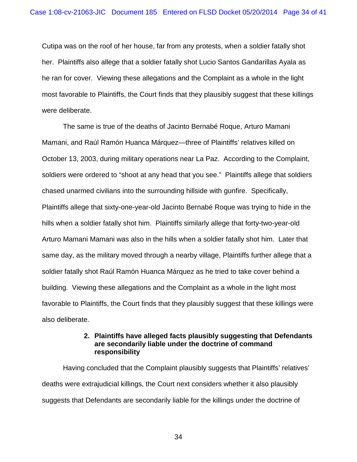Cutipa was on the roof of her house, far from any protests, when a soldier fatally shot her. Plaintiffs also allege that a soldier fatally shot Lucio Santos Gandarillas Ayala as he ran for cover. Viewing these allegations and the Complaint as a whole in the light most favorable to Plaintiffs, the Court finds that they plausibly suggest that these killings were deliberate.

The same is true of the deaths of Jacinto Bernabé Roque, Arturo Mamani Mamani, and Raúl Ramón Huanca Márquez—three of Plaintiffs' relatives killed on October 13, 2003, during military operations near La Paz. According to the Complaint, soldiers were ordered to "shoot at any head that you see." Plaintiffs allege that soldiers chased unarmed civilians into the surrounding hillside with gunfire. Specifically, Plaintiffs allege that sixty-one-year-old Jacinto Bernabé Roque was trying to hide in the hills when a soldier fatally shot him. Plaintiffs similarly allege that forty-two-year-old Arturo Mamani Mamani was also in the hills when a soldier fatally shot him. Later that same day, as the military moved through a nearby village, Plaintiffs further allege that a soldier fatally shot Raúl Ramón Huanca Márquez as he tried to take cover behind a building. Viewing these allegations and the Complaint as a whole in the light most favorable to Plaintiffs, the Court finds that they plausibly suggest that these killings were also deliberate.

## **2. Plaintiffs have alleged facts plausibly suggesting that Defendants are secondarily liable under the doctrine of command responsibility**

Having concluded that the Complaint plausibly suggests that Plaintiffs' relatives' deaths were extrajudicial killings, the Court next considers whether it also plausibly suggests that Defendants are secondarily liable for the killings under the doctrine of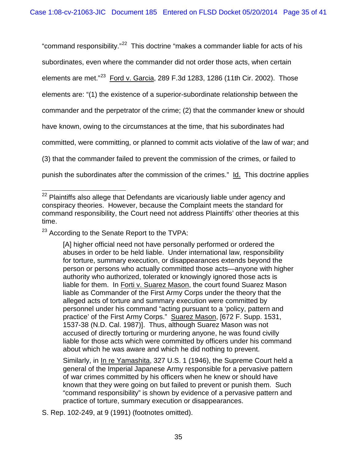"command responsibility."<sup>[22](#page-32-0)</sup> This doctrine "makes a commander liable for acts of his subordinates, even where the commander did not order those acts, when certain elements are met."<sup>[23](#page-34-0)</sup> Ford v. Garcia, 289 F.3d 1283, 1286 (11th Cir. 2002). Those elements are: "(1) the existence of a superior-subordinate relationship between the commander and the perpetrator of the crime; (2) that the commander knew or should have known, owing to the circumstances at the time, that his subordinates had committed, were committing, or planned to commit acts violative of the law of war; and (3) that the commander failed to prevent the commission of the crimes, or failed to punish the subordinates after the commission of the crimes." Id. This doctrine applies

<span id="page-34-0"></span><sup>23</sup> According to the Senate Report to the TVPA:

[A] higher official need not have personally performed or ordered the abuses in order to be held liable. Under international law, responsibility for torture, summary execution, or disappearances extends beyond the person or persons who actually committed those acts—anyone with higher authority who authorized, tolerated or knowingly ignored those acts is liable for them. In Forti v. Suarez Mason, the court found Suarez Mason liable as Commander of the First Army Corps under the theory that the alleged acts of torture and summary execution were committed by personnel under his command "acting pursuant to a 'policy, pattern and practice' of the First Army Corps." Suarez Mason, [672 F. Supp. 1531, 1537-38 (N.D. Cal. 1987)]. Thus, although Suarez Mason was not accused of directly torturing or murdering anyone, he was found civilly liable for those acts which were committed by officers under his command about which he was aware and which he did nothing to prevent.

<span id="page-34-1"></span>Similarly, in In re Yamashita, 327 U.S. 1 (1946), the Supreme Court held a general of the Imperial Japanese Army responsible for a pervasive pattern of war crimes committed by his officers when he knew or should have known that they were going on but failed to prevent or punish them. Such "command responsibility" is shown by evidence of a pervasive pattern and practice of torture, summary execution or disappearances.

S. Rep. 102-249, at 9 (1991) (footnotes omitted).

 $22$  Plaintiffs also allege that Defendants are vicariously liable under agency and conspiracy theories. However, because the Complaint meets the standard for command responsibility, the Court need not address Plaintiffs' other theories at this time.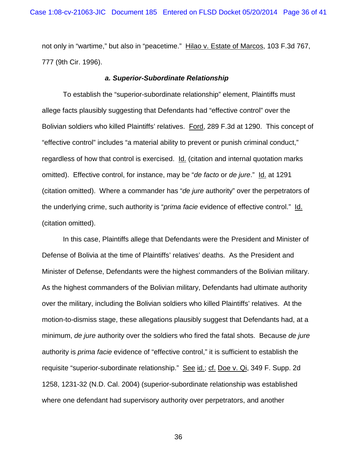not only in "wartime," but also in "peacetime." Hilao v. Estate of Marcos, 103 F.3d 767, 777 (9th Cir. 1996).

#### *a. Superior-Subordinate Relationship*

To establish the "superior-subordinate relationship" element, Plaintiffs must allege facts plausibly suggesting that Defendants had "effective control" over the Bolivian soldiers who killed Plaintiffs' relatives. Ford, 289 F.3d at 1290. This concept of "effective control" includes "a material ability to prevent or punish criminal conduct," regardless of how that control is exercised. Id. (citation and internal quotation marks omitted). Effective control, for instance, may be "*de facto* or *de jure*." Id. at 1291 (citation omitted). Where a commander has "*de jure* authority" over the perpetrators of the underlying crime, such authority is "*prima facie* evidence of effective control." Id. (citation omitted).

In this case, Plaintiffs allege that Defendants were the President and Minister of Defense of Bolivia at the time of Plaintiffs' relatives' deaths. As the President and Minister of Defense, Defendants were the highest commanders of the Bolivian military. As the highest commanders of the Bolivian military, Defendants had ultimate authority over the military, including the Bolivian soldiers who killed Plaintiffs' relatives. At the motion-to-dismiss stage, these allegations plausibly suggest that Defendants had, at a minimum, *de jure* authority over the soldiers who fired the fatal shots. Because *de jure* authority is *prima facie* evidence of "effective control," it is sufficient to establish the requisite "superior-subordinate relationship." See id.; cf. Doe v. Qi, 349 F. Supp. 2d 1258, 1231-32 (N.D. Cal. 2004) (superior-subordinate relationship was established where one defendant had supervisory authority over perpetrators, and another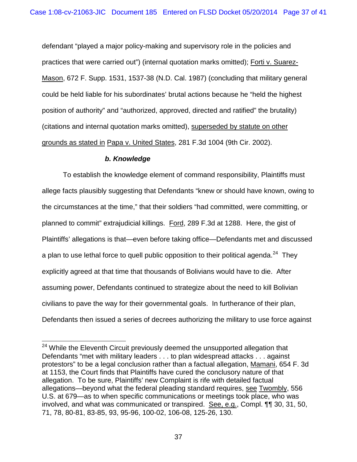defendant "played a major policy-making and supervisory role in the policies and practices that were carried out") (internal quotation marks omitted); Forti v. Suarez-Mason, 672 F. Supp. 1531, 1537-38 (N.D. Cal. 1987) (concluding that military general could be held liable for his subordinates' brutal actions because he "held the highest position of authority" and "authorized, approved, directed and ratified" the brutality) (citations and internal quotation marks omitted), superseded by statute on other grounds as stated in Papa v. United States, 281 F.3d 1004 (9th Cir. 2002).

# *b. Knowledge*

To establish the knowledge element of command responsibility, Plaintiffs must allege facts plausibly suggesting that Defendants "knew or should have known, owing to the circumstances at the time," that their soldiers "had committed, were committing, or planned to commit" extrajudicial killings. Ford, 289 F.3d at 1288. Here, the gist of Plaintiffs' allegations is that—even before taking office—Defendants met and discussed a plan to use lethal force to quell public opposition to their political agenda.<sup>[24](#page-34-1)</sup> They explicitly agreed at that time that thousands of Bolivians would have to die. After assuming power, Defendants continued to strategize about the need to kill Bolivian civilians to pave the way for their governmental goals. In furtherance of their plan, Defendants then issued a series of decrees authorizing the military to use force against

<span id="page-36-0"></span><sup>&</sup>lt;sup>24</sup> While the Eleventh Circuit previously deemed the unsupported allegation that Defendants "met with military leaders . . . to plan widespread attacks . . . against protestors" to be a legal conclusion rather than a factual allegation, Mamani, 654 F. 3d at 1153, the Court finds that Plaintiffs have cured the conclusory nature of that allegation. To be sure, Plaintiffs' new Complaint is rife with detailed factual allegations—beyond what the federal pleading standard requires, see Twombly, 556 U.S. at 679—as to when specific communications or meetings took place, who was involved, and what was communicated or transpired. See, e.g., Compl. ¶¶ 30, 31, 50, 71, 78, 80-81, 83-85, 93, 95-96, 100-02, 106-08, 125-26, 130.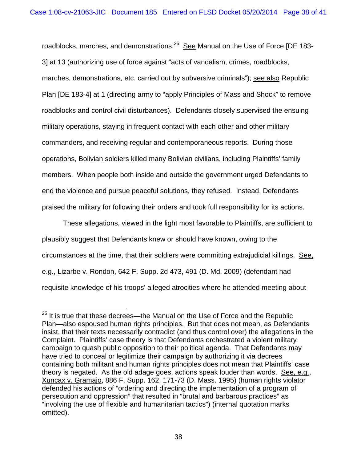roadblocks, marches, and demonstrations.<sup>[25](#page-36-0)</sup> See Manual on the Use of Force [DE 183-3] at 13 (authorizing use of force against "acts of vandalism, crimes, roadblocks, marches, demonstrations, etc. carried out by subversive criminals"); see also Republic Plan [DE 183-4] at 1 (directing army to "apply Principles of Mass and Shock" to remove roadblocks and control civil disturbances). Defendants closely supervised the ensuing military operations, staying in frequent contact with each other and other military commanders, and receiving regular and contemporaneous reports. During those operations, Bolivian soldiers killed many Bolivian civilians, including Plaintiffs' family members. When people both inside and outside the government urged Defendants to end the violence and pursue peaceful solutions, they refused. Instead, Defendants praised the military for following their orders and took full responsibility for its actions.

These allegations, viewed in the light most favorable to Plaintiffs, are sufficient to plausibly suggest that Defendants knew or should have known, owing to the circumstances at the time, that their soldiers were committing extrajudicial killings. See, e.g., Lizarbe v. Rondon, 642 F. Supp. 2d 473, 491 (D. Md. 2009) (defendant had requisite knowledge of his troops' alleged atrocities where he attended meeting about

 $25$  It is true that these decrees—the Manual on the Use of Force and the Republic Plan—also espoused human rights principles. But that does not mean, as Defendants insist, that their texts necessarily contradict (and thus control over) the allegations in the Complaint. Plaintiffs' case theory is that Defendants orchestrated a violent military campaign to quash public opposition to their political agenda. That Defendants may have tried to conceal or legitimize their campaign by authorizing it via decrees containing both militant and human rights principles does not mean that Plaintiffs' case theory is negated. As the old adage goes, actions speak louder than words. See, e.g., Xuncax v. Gramajo, 886 F. Supp. 162, 171-73 (D. Mass. 1995) (human rights violator defended his actions of "ordering and directing the implementation of a program of persecution and oppression" that resulted in "brutal and barbarous practices" as "involving the use of flexible and humanitarian tactics") (internal quotation marks omitted).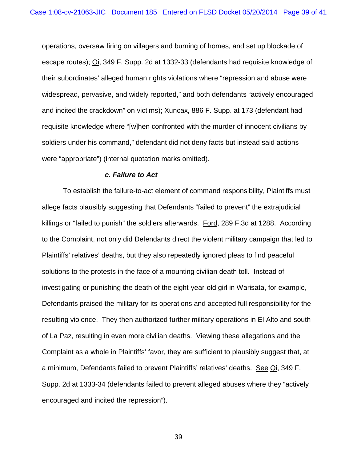operations, oversaw firing on villagers and burning of homes, and set up blockade of escape routes); Qi, 349 F. Supp. 2d at 1332-33 (defendants had requisite knowledge of their subordinates' alleged human rights violations where "repression and abuse were widespread, pervasive, and widely reported," and both defendants "actively encouraged and incited the crackdown" on victims); Xuncax, 886 F. Supp. at 173 (defendant had requisite knowledge where "[w]hen confronted with the murder of innocent civilians by soldiers under his command," defendant did not deny facts but instead said actions were "appropriate") (internal quotation marks omitted).

#### *c. Failure to Act*

To establish the failure-to-act element of command responsibility, Plaintiffs must allege facts plausibly suggesting that Defendants "failed to prevent" the extrajudicial killings or "failed to punish" the soldiers afterwards. Ford, 289 F.3d at 1288. According to the Complaint, not only did Defendants direct the violent military campaign that led to Plaintiffs' relatives' deaths, but they also repeatedly ignored pleas to find peaceful solutions to the protests in the face of a mounting civilian death toll. Instead of investigating or punishing the death of the eight-year-old girl in Warisata, for example, Defendants praised the military for its operations and accepted full responsibility for the resulting violence. They then authorized further military operations in El Alto and south of La Paz, resulting in even more civilian deaths. Viewing these allegations and the Complaint as a whole in Plaintiffs' favor, they are sufficient to plausibly suggest that, at a minimum, Defendants failed to prevent Plaintiffs' relatives' deaths. See Qi, 349 F. Supp. 2d at 1333-34 (defendants failed to prevent alleged abuses where they "actively encouraged and incited the repression").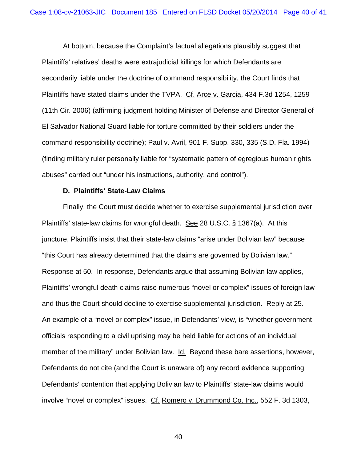At bottom, because the Complaint's factual allegations plausibly suggest that Plaintiffs' relatives' deaths were extrajudicial killings for which Defendants are secondarily liable under the doctrine of command responsibility, the Court finds that Plaintiffs have stated claims under the TVPA. Cf. Arce v. Garcia, 434 F.3d 1254, 1259 (11th Cir. 2006) (affirming judgment holding Minister of Defense and Director General of El Salvador National Guard liable for torture committed by their soldiers under the command responsibility doctrine); Paul v. Avril, 901 F. Supp. 330, 335 (S.D. Fla. 1994) (finding military ruler personally liable for "systematic pattern of egregious human rights abuses" carried out "under his instructions, authority, and control").

#### **D. Plaintiffs' State-Law Claims**

Finally, the Court must decide whether to exercise supplemental jurisdiction over Plaintiffs' state-law claims for wrongful death. See 28 U.S.C. § 1367(a). At this juncture, Plaintiffs insist that their state-law claims "arise under Bolivian law" because "this Court has already determined that the claims are governed by Bolivian law." Response at 50. In response, Defendants argue that assuming Bolivian law applies, Plaintiffs' wrongful death claims raise numerous "novel or complex" issues of foreign law and thus the Court should decline to exercise supplemental jurisdiction. Reply at 25. An example of a "novel or complex" issue, in Defendants' view, is "whether government officials responding to a civil uprising may be held liable for actions of an individual member of the military" under Bolivian law. Id. Beyond these bare assertions, however, Defendants do not cite (and the Court is unaware of) any record evidence supporting Defendants' contention that applying Bolivian law to Plaintiffs' state-law claims would involve "novel or complex" issues. Cf. Romero v. Drummond Co. Inc., 552 F. 3d 1303,